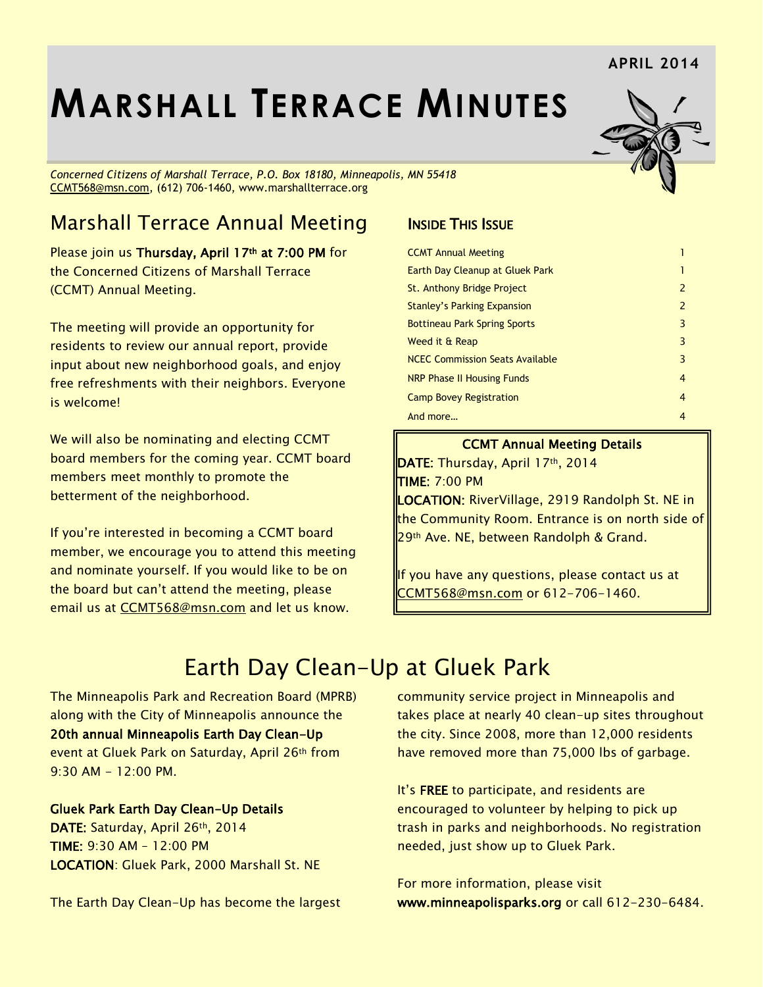#### **APRIL 2014**

# **MARSHALL TERRACE MINUTES**

*Concerned Citizens of Marshall Terrace, P.O. Box 18180, Minneapolis, MN 55418* [CCMT568@msn.com,](mailto:CCMT568@msn.com) (612) 706-1460, www.marshallterrace.org

# Marshall Terrace Annual Meeting

Please join us **Thursday, April 17th at 7:00 PM** for the Concerned Citizens of Marshall Terrace (CCMT) Annual Meeting.

The meeting will provide an opportunity for residents to review our annual report, provide input about new neighborhood goals, and enjoy free refreshments with their neighbors. Everyone is welcome!

We will also be nominating and electing CCMT board members for the coming year. CCMT board members meet monthly to promote the betterment of the neighborhood.

If you're interested in becoming a CCMT board member, we encourage you to attend this meeting and nominate yourself. If you would like to be on the board but can't attend the meeting, please email us at [CCMT568@msn.com](mailto:CCMT568@msn.com) and let us know.

#### **INSIDE THIS ISSUE**

| <b>CCMT Annual Meeting</b>             |               |
|----------------------------------------|---------------|
| Earth Day Cleanup at Gluek Park        |               |
| St. Anthony Bridge Project             | $\mathcal{P}$ |
| <b>Stanley's Parking Expansion</b>     | 2             |
| <b>Bottineau Park Spring Sports</b>    | 3             |
| Weed it & Reap                         | 3             |
| <b>NCEC Commission Seats Available</b> | 3             |
| <b>NRP Phase II Housing Funds</b>      | 4             |
| <b>Camp Bovey Registration</b>         | 4             |
| And more                               | 4             |

#### CCMT Annual Meeting Details

DATE: Thursday, April 17th, 2014 TIME: 7:00 PM

LOCATION: RiverVillage, 2919 Randolph St. NE in the Community Room. Entrance is on north side of 29th Ave. NE, between Randolph & Grand.

If you have any questions, please contact us at [CCMT568@msn.com](mailto:CCMT568@msn.com) or 612-706-1460.

# Earth Day Clean-Up at Gluek Park

The Minneapolis Park and Recreation Board (MPRB) along with the City of Minneapolis announce the 20th annual Minneapolis Earth Day Clean-Up event at Gluek Park on Saturday, April 26th from  $9:30$  AM  $-12:00$  PM.

Gluek Park Earth Day Clean-Up Details

DATE: Saturday, April 26th, 2014 TIME: 9:30 AM – 12:00 PM LOCATION: Gluek Park, 2000 Marshall St. NE

The Earth Day Clean-Up has become the largest

community service project in Minneapolis and takes place at nearly 40 clean-up sites throughout the city. Since 2008, more than 12,000 residents have removed more than 75,000 lbs of garbage.

It's FREE to participate, and residents are encouraged to volunteer by helping to pick up trash in parks and neighborhoods. No registration needed, just show up to Gluek Park.

For more information, please visit [www.minneapolisparks.org](http://www.minneapolisparks.org/) or call 612-230-6484.

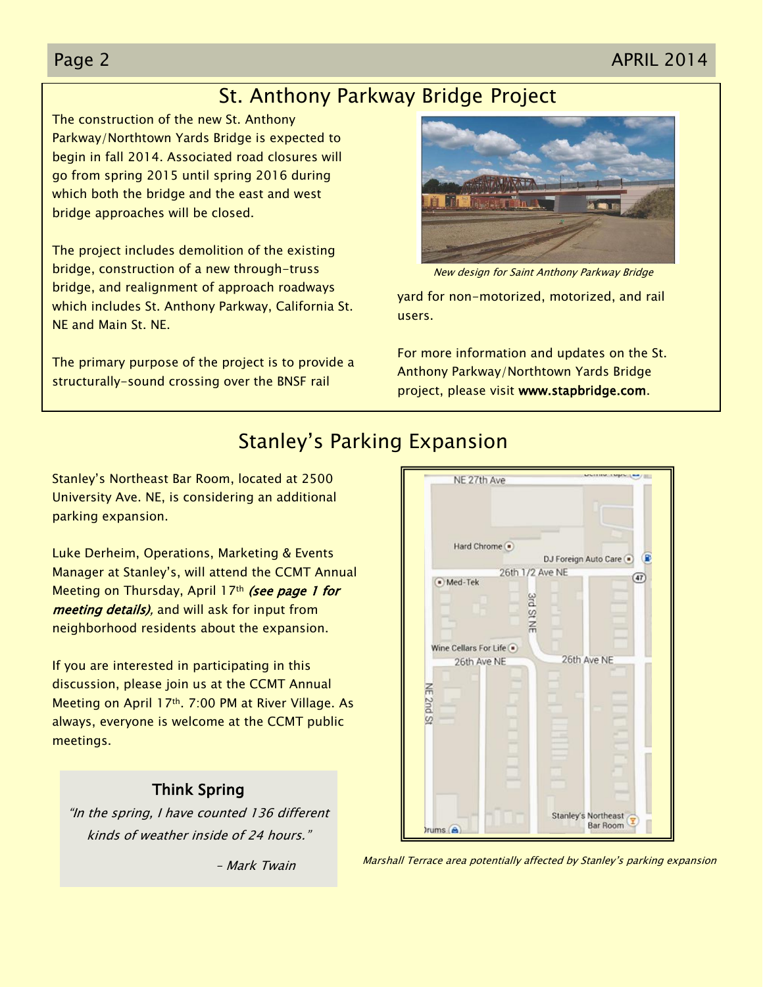#### Page 2 APRIL 2014

#### St. Anthony Parkway Bridge Project

The construction of the new St. Anthony Parkway/Northtown Yards Bridge is expected to begin in fall 2014. Associated road closures will go from spring 2015 until spring 2016 during which both the bridge and the east and west bridge approaches will be closed.

The project includes demolition of the existing bridge, construction of a new through-truss bridge, and realignment of approach roadways which includes St. Anthony Parkway, California St. NE and Main St. NE.

The primary purpose of the project is to provide a structurally-sound crossing over the BNSF rail



New design for Saint Anthony Parkway Bridge

yard for non-motorized, motorized, and rail users.

For more information and updates on the St. Anthony Parkway/Northtown Yards Bridge project, please visit [www.stapbridge.com.](http://www.stapbridge.com/)

#### Stanley's Parking Expansion

Stanley's Northeast Bar Room, located at 2500 University Ave. NE, is considering an additional parking expansion.

Luke Derheim, Operations, Marketing & Events Manager at Stanley's, will attend the CCMT Annual Meeting on Thursday, April 17th (see page 1 for meeting details), and will ask for input from neighborhood residents about the expansion.

If you are interested in participating in this discussion, please join us at the CCMT Annual Meeting on April 17th. 7:00 PM at River Village. As always, everyone is welcome at the CCMT public meetings.

#### Think Spring

"In the spring, I have counted 136 different kinds of weather inside of 24 hours."

– Mark Twain



Marshall Terrace area potentially affected by Stanley's parking expansion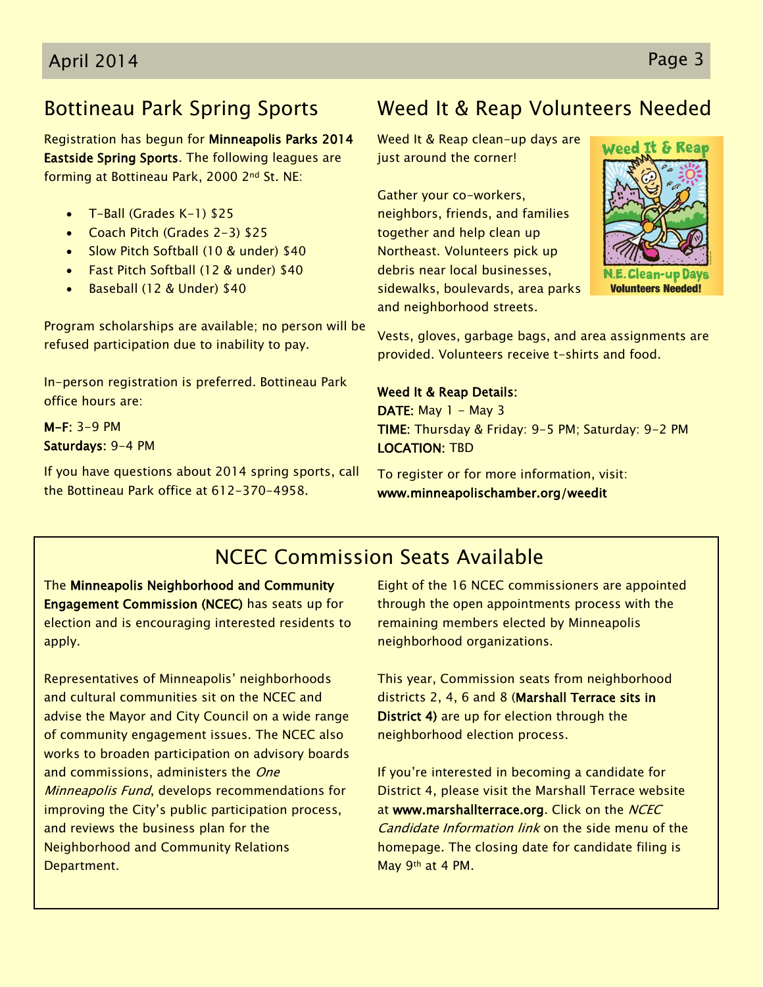# Bottineau Park Spring Sports

Registration has begun for Minneapolis Parks 2014 Eastside Spring Sports. The following leagues are forming at Bottineau Park, 2000 2nd St. NE:

- T-Ball (Grades K-1) \$25
- Coach Pitch (Grades 2-3) \$25
- Slow Pitch Softball (10 & under) \$40
- Fast Pitch Softball (12 & under) \$40
- Baseball (12 & Under) \$40

Program scholarships are available; no person will be refused participation due to inability to pay.

In-person registration is preferred. Bottineau Park office hours are:

M-F: 3-9 PM Saturdays: 9-4 PM

If you have questions about 2014 spring sports, call the Bottineau Park office at 612-370-4958.

# Weed It & Reap Volunteers Needed

Weed It & Reap clean-up days are just around the corner!

Gather your co-workers, neighbors, friends, and families together and help clean up Northeast. Volunteers pick up debris near local businesses, sidewalks, boulevards, area parks and neighborhood streets.



Vests, gloves, garbage bags, and area assignments are provided. Volunteers receive t-shirts and food.

Weed It & Reap Details: DATE: May  $1 - May 3$ TIME: Thursday & Friday: 9-5 PM; Saturday: 9-2 PM LOCATION: TBD

To register or for more information, visit: [www.minneapolischamber.org/weedit](http://www.minneapolischamber.org/weedit) 

# NCEC Commission Seats Available

The Minneapolis Neighborhood and Community Engagement Commission (NCEC) has seats up for election and is encouraging interested residents to apply.

Representatives of Minneapolis' neighborhoods and cultural communities sit on the NCEC and advise the Mayor and City Council on a wide range of community engagement issues. The NCEC also works to broaden participation on advisory boards and commissions, administers the One Minneapolis Fund, develops recommendations for improving the City's public participation process, and reviews the business plan for the Neighborhood and Community Relations Department.

Eight of the 16 NCEC commissioners are appointed through the open appointments process with the remaining members elected by Minneapolis neighborhood organizations.

This year, Commission seats from neighborhood districts 2, 4, 6 and 8 (Marshall Terrace sits in District 4) are up for election through the neighborhood election process.

If you're interested in becoming a candidate for District 4, please visit the Marshall Terrace website at [www.marshallterrace.org.](http://www.marshallterrace.org/) Click on the NCEC Candidate Information link on the side menu of the homepage. The closing date for candidate filing is May 9th at 4 PM.